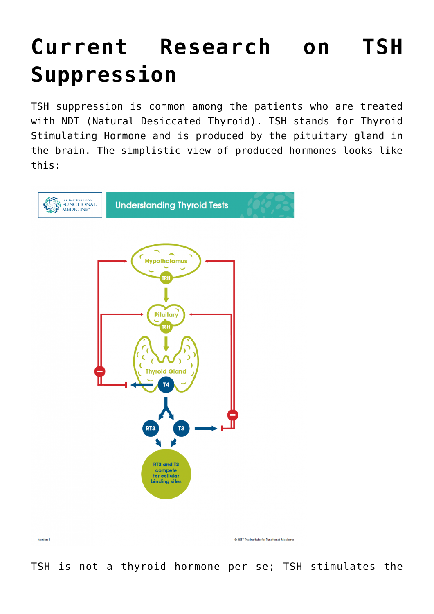## **[Current Research on TSH](https://sproutshealth.com/current-research-on-tsh-suppression/) [Suppression](https://sproutshealth.com/current-research-on-tsh-suppression/)**

TSH suppression is common among the patients who are treated with NDT (Natural Desiccated Thyroid). TSH stands for Thyroid Stimulating Hormone and is produced by the pituitary gland in the brain. The simplistic view of produced hormones looks like this:



TSH is not a thyroid hormone per se; TSH stimulates the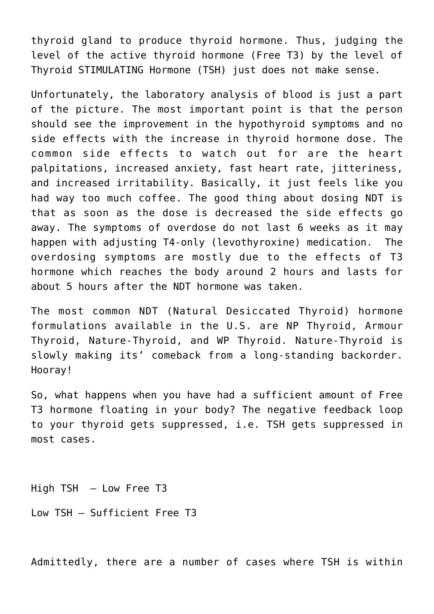thyroid gland to produce thyroid hormone. Thus, judging the level of the active thyroid hormone (Free T3) by the level of Thyroid STIMULATING Hormone (TSH) just does not make sense.

Unfortunately, the laboratory analysis of blood is just a part of the picture. The most important point is that the person should see the improvement in the hypothyroid symptoms and no side effects with the increase in thyroid hormone dose. The common side effects to watch out for are the heart palpitations, increased anxiety, fast heart rate, jitteriness, and increased irritability. Basically, it just feels like you had way too much coffee. The good thing about dosing NDT is that as soon as the dose is decreased the side effects go away. The symptoms of overdose do not last 6 weeks as it may happen with adjusting T4-only (levothyroxine) medication. The overdosing symptoms are mostly due to the effects of T3 hormone which reaches the body around 2 hours and lasts for about 5 hours after the NDT hormone was taken.

The most common NDT (Natural Desiccated Thyroid) hormone formulations available in the U.S. are NP Thyroid, Armour Thyroid, Nature-Thyroid, and WP Thyroid. Nature-Thyroid is slowly making its' comeback from a long-standing backorder. Hooray!

So, what happens when you have had a sufficient amount of Free T3 hormone floating in your body? The negative feedback loop to your thyroid gets suppressed, i.e. TSH gets suppressed in most cases.

High TSH – Low Free T3 Low TSH – Sufficient Free T3

Admittedly, there are a number of cases where TSH is within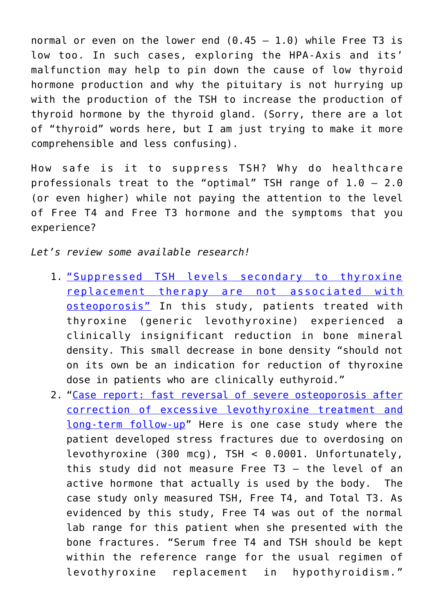normal or even on the lower end  $(0.45 - 1.0)$  while Free T3 is low too. In such cases, exploring the HPA-Axis and its' malfunction may help to pin down the cause of low thyroid hormone production and why the pituitary is not hurrying up with the production of the TSH to increase the production of thyroid hormone by the thyroid gland. (Sorry, there are a lot of "thyroid" words here, but I am just trying to make it more comprehensible and less confusing).

How safe is it to suppress TSH? Why do healthcare professionals treat to the "optimal" TSH range of  $1.0 - 2.0$ (or even higher) while not paying the attention to the level of Free T4 and Free T3 hormone and the symptoms that you experience?

*Let's review some available research!*

- 1. ["Suppressed TSH levels secondary to thyroxine](https://onlinelibrary.wiley.com/doi/abs/10.1111/j.1365-2265.1993.tb02404.x) [replacement therapy are not associated with](https://onlinelibrary.wiley.com/doi/abs/10.1111/j.1365-2265.1993.tb02404.x) [osteoporosis"](https://onlinelibrary.wiley.com/doi/abs/10.1111/j.1365-2265.1993.tb02404.x) In this study, patients treated with thyroxine (generic levothyroxine) experienced a clinically insignificant reduction in bone mineral density. This small decrease in bone density "should not on its own be an indication for reduction of thyroxine dose in patients who are clinically euthyroid."
- 2. ["Case report: fast reversal of severe osteoporosis after](https://www.ncbi.nlm.nih.gov/pmc/articles/PMC5486913/) [correction of excessive levothyroxine treatment and](https://www.ncbi.nlm.nih.gov/pmc/articles/PMC5486913/) [long-term follow-up"](https://www.ncbi.nlm.nih.gov/pmc/articles/PMC5486913/) Here is one case study where the patient developed stress fractures due to overdosing on levothyroxine (300 mcg), TSH < 0.0001. Unfortunately, this study did not measure Free T3 – the level of an active hormone that actually is used by the body. The case study only measured TSH, Free T4, and Total T3. As evidenced by this study, Free T4 was out of the normal lab range for this patient when she presented with the bone fractures. "Serum free T4 and TSH should be kept within the reference range for the usual regimen of levothyroxine replacement in hypothyroidism."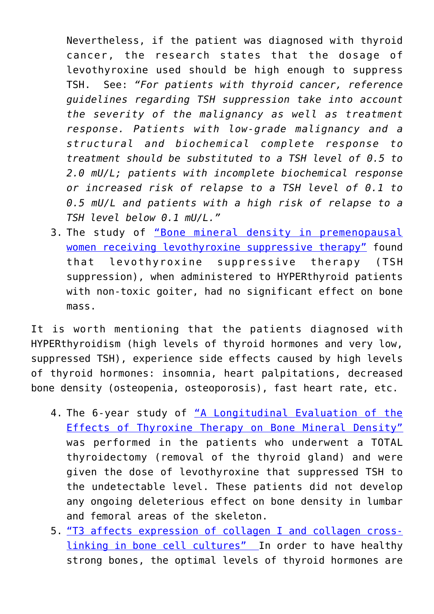Nevertheless, if the patient was diagnosed with thyroid cancer, the research states that the dosage of levothyroxine used should be high enough to suppress TSH. See: *"For patients with thyroid cancer, reference guidelines regarding TSH suppression take into account the severity of the malignancy as well as treatment response. Patients with low-grade malignancy and a structural and biochemical complete response to treatment should be substituted to a TSH level of 0.5 to 2.0 mU/L; patients with incomplete biochemical response or increased risk of relapse to a TSH level of 0.1 to 0.5 mU/L and patients with a high risk of relapse to a TSH level below 0.1 mU/L."*

3. The study of ["Bone mineral density in premenopausal](https://www.tandfonline.com/doi/abs/10.3109/09513599809012835) [women receiving levothyroxine suppressive therapy"](https://www.tandfonline.com/doi/abs/10.3109/09513599809012835) found that levothyroxine suppressive therapy (TSH suppression), when administered to HYPERthyroid patients with non-toxic goiter, had no significant effect on bone mass.

It is worth mentioning that the patients diagnosed with HYPERthyroidism (high levels of thyroid hormones and very low, suppressed TSH), experience side effects caused by high levels of thyroid hormones: insomnia, heart palpitations, decreased bone density (osteopenia, osteoporosis), fast heart rate, etc.

- 4. The 6-year study of ["A Longitudinal Evaluation of the](https://www.clinicaldensitometry.com/article/S1094-6950(06)60395-8/pdf) [Effects of Thyroxine Therapy on Bone Mineral Density"](https://www.clinicaldensitometry.com/article/S1094-6950(06)60395-8/pdf) was performed in the patients who underwent a TOTAL thyroidectomy (removal of the thyroid gland) and were given the dose of levothyroxine that suppressed TSH to the undetectable level. These patients did not develop any ongoing deleterious effect on bone density in lumbar and femoral areas of the skeleton.
- 5. ["T3 affects expression of collagen I and collagen cross](https://www.ncbi.nlm.nih.gov/pmc/articles/PMC3025330/)[linking in bone cell cultures"](https://www.ncbi.nlm.nih.gov/pmc/articles/PMC3025330/) In order to have healthy strong bones, the optimal levels of thyroid hormones are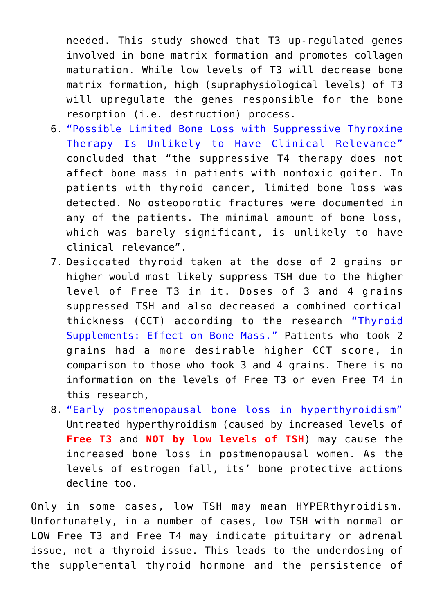needed. This study showed that T3 up-regulated genes involved in bone matrix formation and promotes collagen maturation. While low levels of T3 will decrease bone matrix formation, high (supraphysiological levels) of T3 will upregulate the genes responsible for the bone resorption (i.e. destruction) process.

- 6. ["Possible Limited Bone Loss with Suppressive Thyroxine](https://www.liebertpub.com/doi/10.1089/thy.1995.5.81) [Therapy Is Unlikely to Have Clinical Relevance"](https://www.liebertpub.com/doi/10.1089/thy.1995.5.81) concluded that "the suppressive T4 therapy does not affect bone mass in patients with nontoxic goiter. In patients with thyroid cancer, limited bone loss was detected. No osteoporotic fractures were documented in any of the patients. The minimal amount of bone loss, which was barely significant, is unlikely to have clinical relevance".
- 7. Desiccated thyroid taken at the dose of 2 grains or higher would most likely suppress TSH due to the higher level of Free T3 in it. Doses of 3 and 4 grains suppressed TSH and also decreased a combined cortical thickness (CCT) according to the research ["Thyroid](https://www.ncbi.nlm.nih.gov/pmc/articles/PMC1273943/pdf/westjmed00214-0060.pdf) [Supplements: Effect on Bone Mass."](https://www.ncbi.nlm.nih.gov/pmc/articles/PMC1273943/pdf/westjmed00214-0060.pdf) Patients who took 2 grains had a more desirable higher CCT score, in comparison to those who took 3 and 4 grains. There is no information on the levels of Free T3 or even Free T4 in this research,
- 8. ["Early postmenopausal bone loss in hyperthyroidism"](https://www.maturitas.org/article/S0378-5122(00)00179-1/fulltext) Untreated hyperthyroidism (caused by increased levels of **Free T3** and **NOT by low levels of TSH**) may cause the increased bone loss in postmenopausal women. As the levels of estrogen fall, its' bone protective actions decline too.

Only in some cases, low TSH may mean HYPERthyroidism. Unfortunately, in a number of cases, low TSH with normal or LOW Free T3 and Free T4 may indicate pituitary or adrenal issue, not a thyroid issue. This leads to the underdosing of the supplemental thyroid hormone and the persistence of